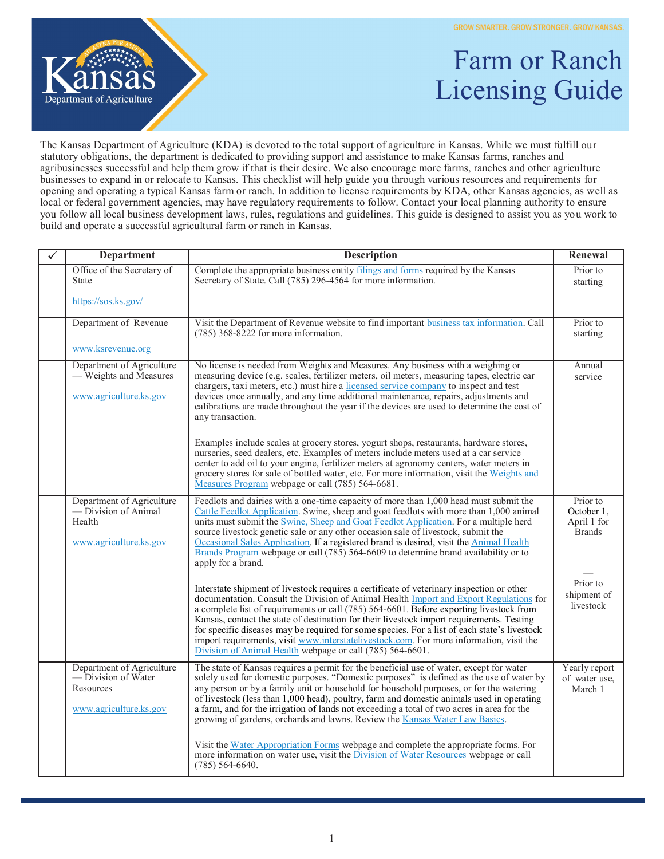

## Farm or Ranch Licensing Guide

The Kansas Department of Agriculture (KDA) is devoted to the total support of agriculture in Kansas. While we must fulfill our statutory obligations, the department is dedicated to providing support and assistance to make Kansas farms, ranches and agribusinesses successful and help them grow if that is their desire. We also encourage more farms, ranches and other agriculture businesses to expand in or relocate to Kansas. This checklist will help guide you through various resources and requirements for opening and operating a typical Kansas farm or ranch. In addition to license requirements by KDA, other Kansas agencies, as well as local or federal government agencies, may have regulatory requirements to follow. Contact your local planning authority to ensure you follow all local business development laws, rules, regulations and guidelines. This guide is designed to assist you as you work to build and operate a successful agricultural farm or ranch in Kansas.

| <b>Department</b>                                                                       | <b>Description</b>                                                                                                                                                                                                                                                                                                                                                                                                                                                                                                                                                                                                                  | Renewal                                                |
|-----------------------------------------------------------------------------------------|-------------------------------------------------------------------------------------------------------------------------------------------------------------------------------------------------------------------------------------------------------------------------------------------------------------------------------------------------------------------------------------------------------------------------------------------------------------------------------------------------------------------------------------------------------------------------------------------------------------------------------------|--------------------------------------------------------|
| Office of the Secretary of<br><b>State</b>                                              | Complete the appropriate business entity filings and forms required by the Kansas<br>Secretary of State. Call (785) 296-4564 for more information.                                                                                                                                                                                                                                                                                                                                                                                                                                                                                  | Prior to<br>starting                                   |
| https://sos.ks.gov/                                                                     |                                                                                                                                                                                                                                                                                                                                                                                                                                                                                                                                                                                                                                     |                                                        |
| Department of Revenue                                                                   | Visit the Department of Revenue website to find important business tax information. Call<br>$(785)$ 368-8222 for more information.                                                                                                                                                                                                                                                                                                                                                                                                                                                                                                  | Prior to<br>starting                                   |
| www.ksrevenue.org                                                                       |                                                                                                                                                                                                                                                                                                                                                                                                                                                                                                                                                                                                                                     |                                                        |
| Department of Agriculture<br>— Weights and Measures<br>www.agriculture.ks.gov           | No license is needed from Weights and Measures. Any business with a weighing or<br>measuring device (e.g. scales, fertilizer meters, oil meters, measuring tapes, electric car<br>chargers, taxi meters, etc.) must hire a licensed service company to inspect and test<br>devices once annually, and any time additional maintenance, repairs, adjustments and<br>calibrations are made throughout the year if the devices are used to determine the cost of<br>any transaction.                                                                                                                                                   | Annual<br>service                                      |
|                                                                                         | Examples include scales at grocery stores, yogurt shops, restaurants, hardware stores,<br>nurseries, seed dealers, etc. Examples of meters include meters used at a car service<br>center to add oil to your engine, fertilizer meters at agronomy centers, water meters in<br>grocery stores for sale of bottled water, etc. For more information, visit the Weights and<br>Measures Program webpage or call (785) 564-6681.                                                                                                                                                                                                       |                                                        |
| Department of Agriculture<br>— Division of Animal<br>Health<br>www.agriculture.ks.gov   | Feedlots and dairies with a one-time capacity of more than 1,000 head must submit the<br>Cattle Feedlot Application. Swine, sheep and goat feedlots with more than 1,000 animal<br>units must submit the Swine, Sheep and Goat Feedlot Application. For a multiple herd<br>source livestock genetic sale or any other occasion sale of livestock, submit the<br>Occasional Sales Application. If a registered brand is desired, visit the Animal Health<br>Brands Program webpage or call (785) 564-6609 to determine brand availability or to<br>apply for a brand.                                                                | Prior to<br>October 1,<br>April 1 for<br><b>Brands</b> |
|                                                                                         | Interstate shipment of livestock requires a certificate of veterinary inspection or other<br>documentation. Consult the Division of Animal Health Import and Export Regulations for<br>a complete list of requirements or call (785) 564-6601. Before exporting livestock from<br>Kansas, contact the state of destination for their livestock import requirements. Testing<br>for specific diseases may be required for some species. For a list of each state's livestock<br>import requirements, visit www.interstatelivestock.com. For more information, visit the<br>Division of Animal Health webpage or call (785) 564-6601. | Prior to<br>shipment of<br>livestock                   |
| Department of Agriculture<br>— Division of Water<br>Resources<br>www.agriculture.ks.gov | The state of Kansas requires a permit for the beneficial use of water, except for water<br>solely used for domestic purposes. "Domestic purposes" is defined as the use of water by<br>any person or by a family unit or household for household purposes, or for the watering<br>of livestock (less than 1,000 head), poultry, farm and domestic animals used in operating<br>a farm, and for the irrigation of lands not exceeding a total of two acres in area for the<br>growing of gardens, orchards and lawns. Review the Kansas Water Law Basics.                                                                            | Yearly report<br>of water use,<br>March 1              |
|                                                                                         | Visit the Water Appropriation Forms webpage and complete the appropriate forms. For<br>more information on water use, visit the Division of Water Resources webpage or call<br>$(785)$ 564-6640.                                                                                                                                                                                                                                                                                                                                                                                                                                    |                                                        |